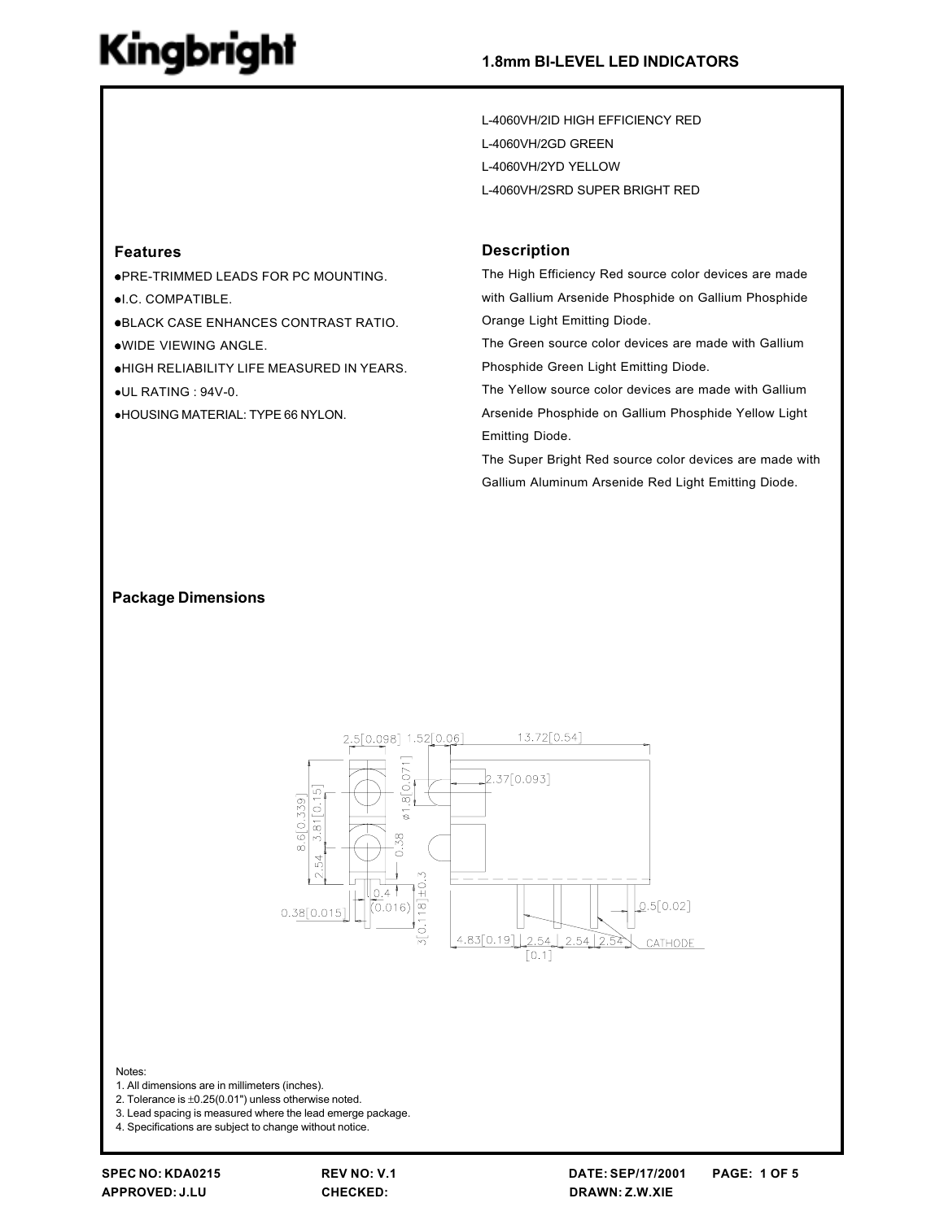L-4060VH/2ID HIGH EFFICIENCY RED L-4060VH/2GD GREEN L-4060VH/2YD YELLOW L-4060VH/2SRD SUPER BRIGHT RED

### **Features**

. PRE-TRIMMED LEADS FOR PC MOUNTING. ·I.C. COMPATIBLE. **.BLACK CASE ENHANCES CONTRAST RATIO.** .WIDE VIEWING ANGLE. .HIGH RELIABILITY LIFE MEASURED IN YEARS. ·UL RATING : 94V-0. **.HOUSING MATERIAL: TYPE 66 NYLON.** 

#### **Description**

The High Efficiency Red source color devices are made with Gallium Arsenide Phosphide on Gallium Phosphide Orange Light Emitting Diode.

The Green source color devices are made with Gallium Phosphide Green Light Emitting Diode.

The Yellow source color devices are made with Gallium Arsenide Phosphide on Gallium Phosphide Yellow Light Emitting Diode.

The Super Bright Red source color devices are made with Gallium Aluminum Arsenide Red Light Emitting Diode.

### **Package Dimensions**



Notes:

- 1. All dimensions are in millimeters (inches).
- 2. Tolerance is  $\pm 0.25(0.01")$  unless otherwise noted.
- 3. Lead spacing is measured where the lead emerge package.

4. Specifications are subject to change without notice.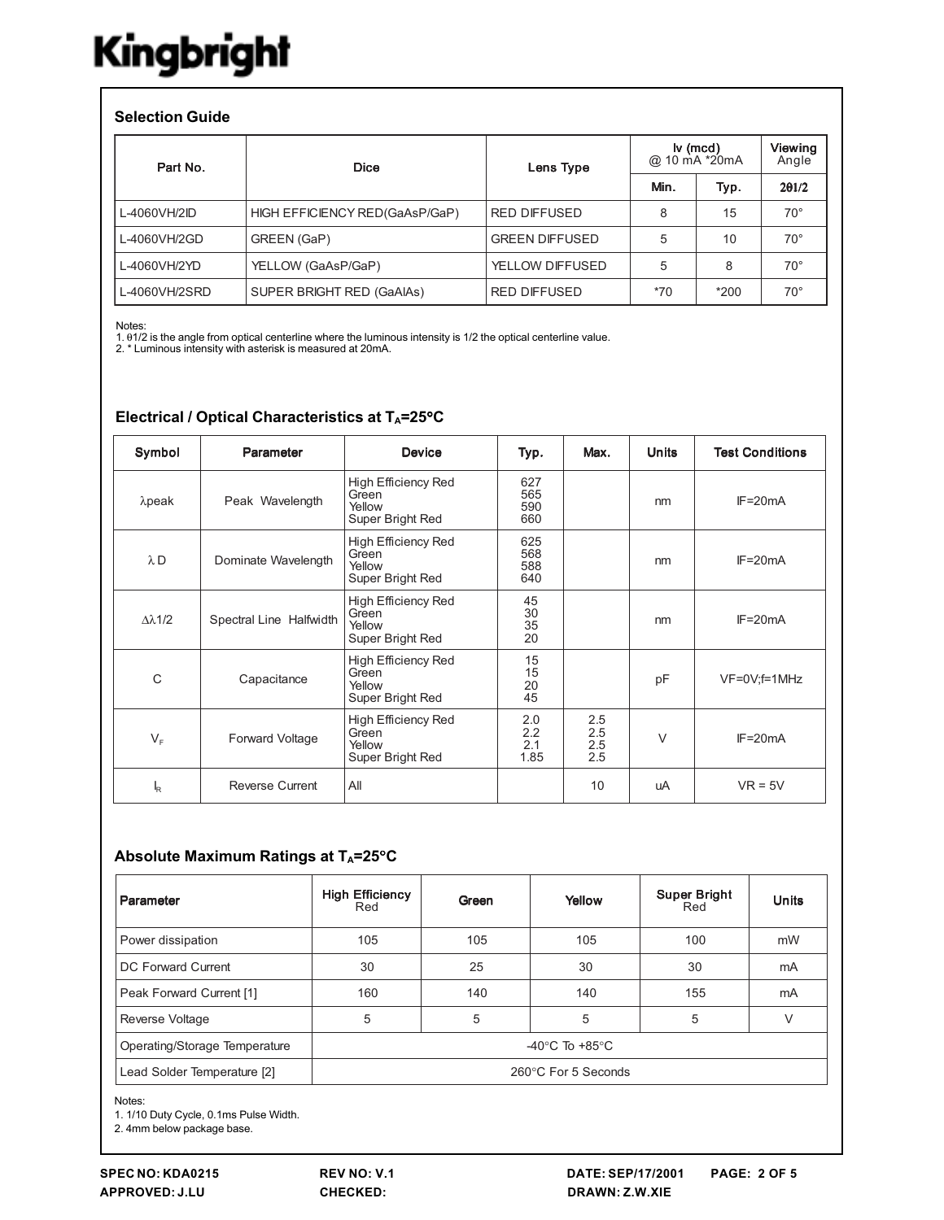### **Selection Guide**

| Part No.      | <b>Dice</b>                    | Lens Type             | $\mathsf{I} \mathsf{v}$ (mcd)<br>@ 10 mA *20mA |        | Viewing<br>Angle |
|---------------|--------------------------------|-----------------------|------------------------------------------------|--------|------------------|
|               |                                |                       | Min.                                           | Typ.   | 201/2            |
| L-4060VH/2ID  | HIGH EFFICIENCY RED(GaAsP/GaP) | <b>RED DIFFUSED</b>   | 8                                              | 15     | $70^{\circ}$     |
| L-4060VH/2GD  | GREEN (GaP)                    | <b>GREEN DIFFUSED</b> | 5                                              | 10     | $70^{\circ}$     |
| L-4060VH/2YD  | YELLOW (GaAsP/GaP)             | YELLOW DIFFUSED       | 5                                              | 8      | $70^{\circ}$     |
| L-4060VH/2SRD | SUPER BRIGHT RED (GaAIAs)      | <b>RED DIFFUSED</b>   | $*70$                                          | $*200$ | $70^{\circ}$     |

Notes:

Nuces.<br>1. 01/2 is the angle from optical centerline where the luminous intensity is 1/2 the optical centerline value.<br>2. \* Luminous intensity with asterisk is measured at 20mA.

| Symbol               | Parameter               | <b>Device</b>                                                     | Typ.                      | Max.                         | <b>Units</b> | <b>Test Conditions</b> |
|----------------------|-------------------------|-------------------------------------------------------------------|---------------------------|------------------------------|--------------|------------------------|
| $\lambda$ peak       | Peak Wavelength         | High Efficiency Red<br>Green<br>Yellow<br>Super Bright Red        | 627<br>565<br>590<br>660  |                              | nm           | $IF = 20mA$            |
| $\lambda$ D          | Dominate Wavelength     | <b>High Efficiency Red</b><br>Green<br>Yellow<br>Super Bright Red | 625<br>568<br>588<br>640  |                              | nm           | $IF = 20mA$            |
| $\Delta \lambda$ 1/2 | Spectral Line Halfwidth | <b>High Efficiency Red</b><br>Green<br>Yellow<br>Super Bright Red | 45<br>30<br>35<br>20      |                              | nm           | $IF = 20mA$            |
| C                    | Capacitance             | High Efficiency Red<br>Green<br>Yellow<br>Super Bright Red        | 15<br>15<br>20<br>45      |                              | pF           | $VF=0V;f=1MHz$         |
| $V_{F}$              | Forward Voltage         | High Efficiency Red<br>Green<br>Yellow<br>Super Bright Red        | 2.0<br>2.2<br>2.1<br>1.85 | 2.5<br>$^{2.5}_{2.5}$<br>2.5 | $\vee$       | $IF = 20mA$            |
| k                    | <b>Reverse Current</b>  | All                                                               |                           | 10                           | uA           | $VR = 5V$              |

### Electrical / Optical Characteristics at TA=25°C

### Absolute Maximum Ratings at TA=25°C

| Parameter                     | <b>High Efficiency</b><br>Red | Green                              | Yellow | <b>Super Bright</b><br>Red | <b>Units</b> |  |  |
|-------------------------------|-------------------------------|------------------------------------|--------|----------------------------|--------------|--|--|
| Power dissipation             | 105                           | 105                                | 105    | 100                        | mW           |  |  |
| DC Forward Current            | 30                            | 25                                 | 30     | 30                         | mA           |  |  |
| Peak Forward Current [1]      | 160                           | 140                                | 140    | 155                        | mA           |  |  |
| Reverse Voltage               | 5                             | 5                                  | 5      | 5                          | ٧            |  |  |
| Operating/Storage Temperature |                               | -40 $\degree$ C To +85 $\degree$ C |        |                            |              |  |  |
| Lead Solder Temperature [2]   | 260°C For 5 Seconds           |                                    |        |                            |              |  |  |

Notes:

1. 1/10 Duty Cycle, 0.1ms Pulse Width.

2. 4mm below package base.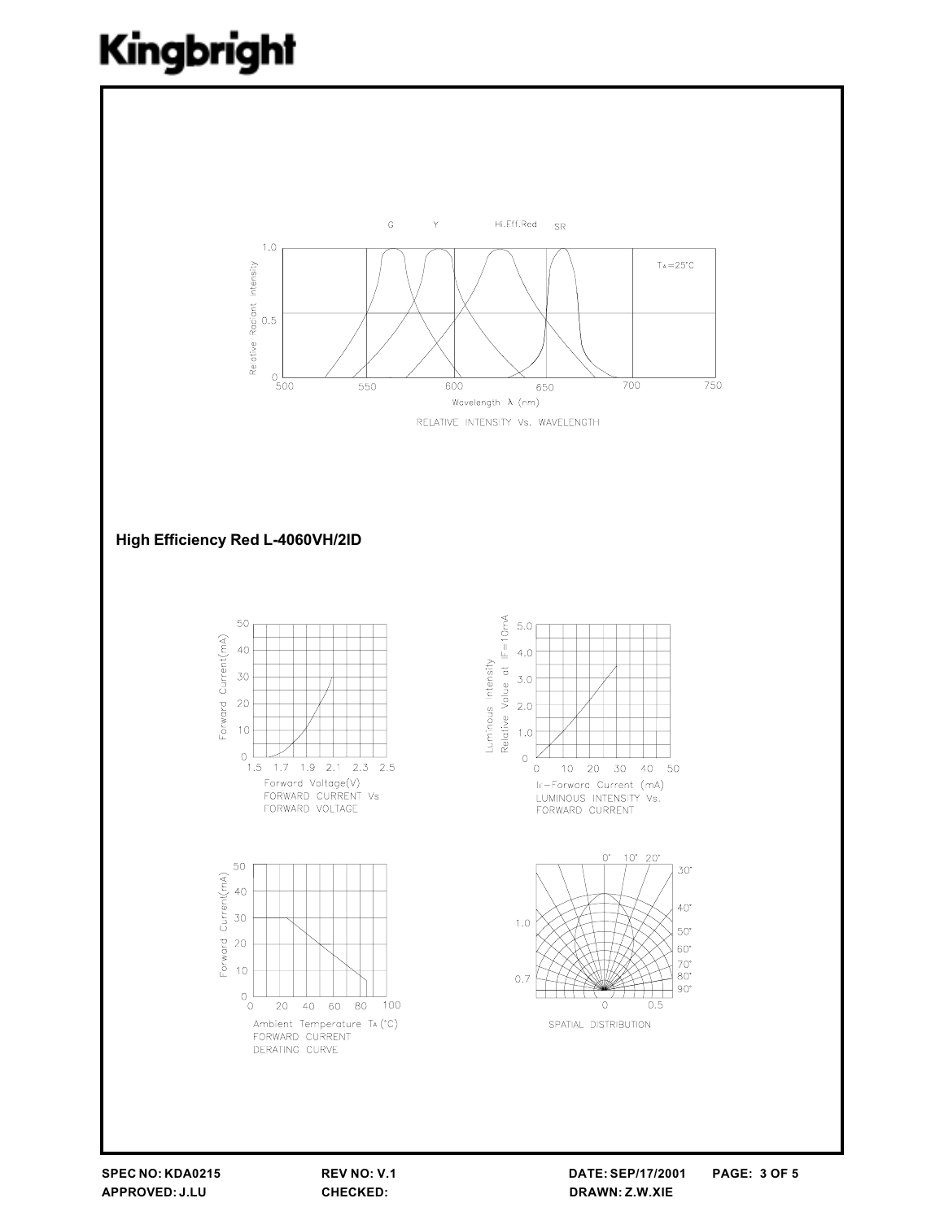

REV NO: V.1 CHECKED: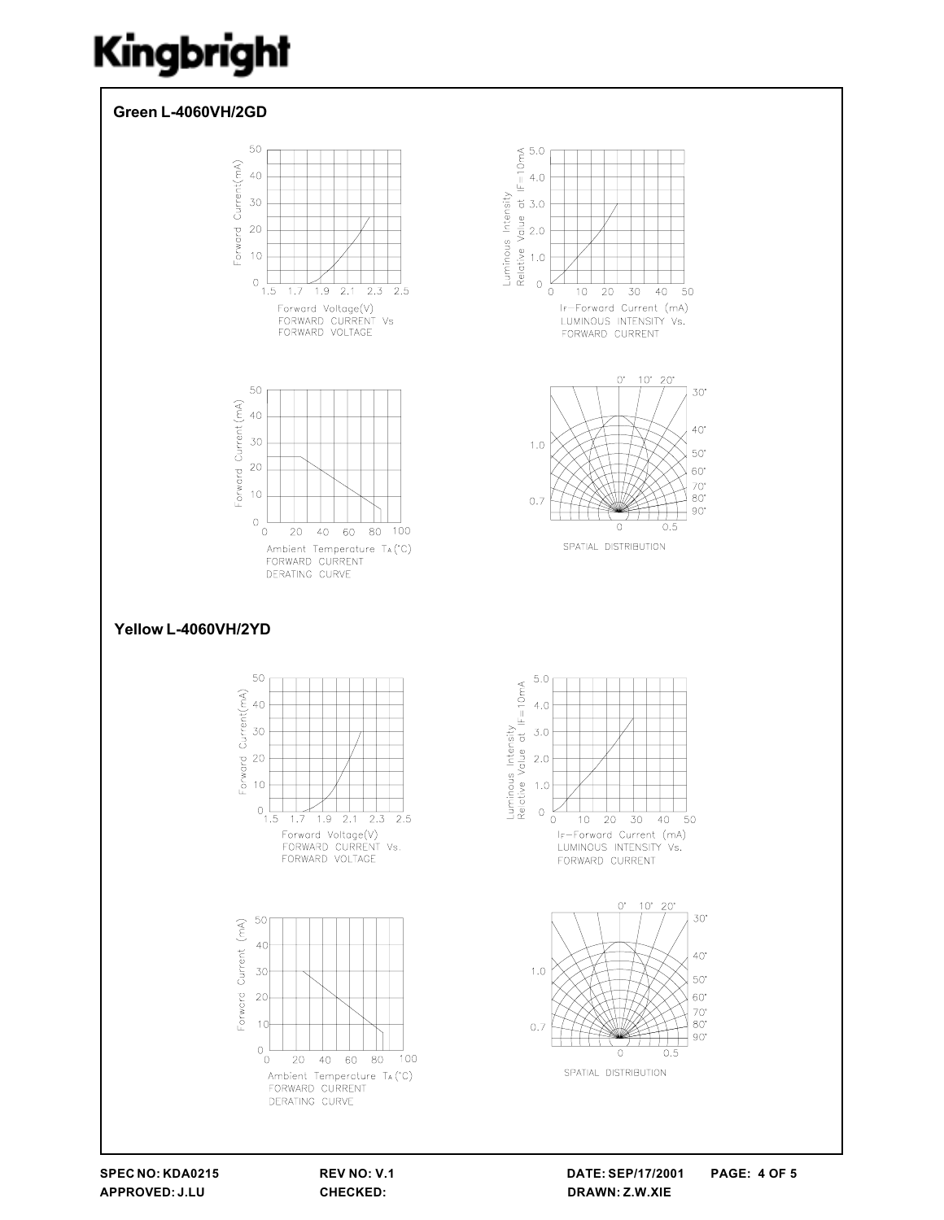

SPEC NO: KDA0215 APPROVED: J.LU

REV NO: V.1 CHECKED:

DATE: SEP/17/2001 **PAGE: 4 OF 5** DRAWN: Z.W.XIE